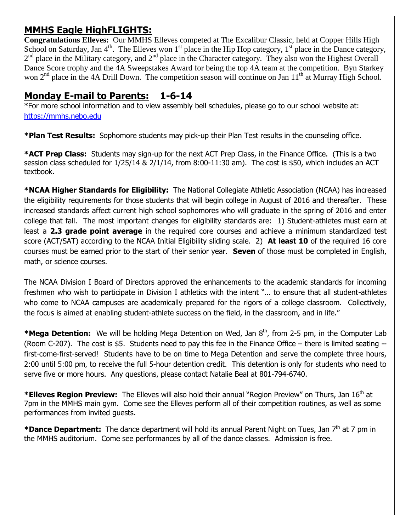# **MMHS Eagle HighFLIGHTS:**

**Congratulations Elleves:** Our MMHS Elleves competed at The Excalibur Classic, held at Copper Hills High School on Saturday, Jan  $4<sup>th</sup>$ . The Elleves won 1<sup>st</sup> place in the Hip Hop category, 1<sup>st</sup> place in the Dance category, 2<sup>nd</sup> place in the Military category, and 2<sup>nd</sup> place in the Character category. They also won the Highest Overall Dance Score trophy and the 4A Sweepstakes Award for being the top 4A team at the competition. Byn Starkey won  $2<sup>nd</sup>$  place in the 4A Drill Down. The competition season will continue on Jan  $11<sup>th</sup>$  at Murray High School.

## **Monday E-mail to Parents: 1-6-14**

\*For more school information and to view assembly bell schedules, please go to our school website at: [https://mmhs.nebo.edu](https://mmhs.nebo.edu/)

**\*Plan Test Results:** Sophomore students may pick-up their Plan Test results in the counseling office.

**\*ACT Prep Class:** Students may sign-up for the next ACT Prep Class, in the Finance Office. (This is a two session class scheduled for 1/25/14 & 2/1/14, from 8:00-11:30 am). The cost is \$50, which includes an ACT textbook.

**\*NCAA Higher Standards for Eligibility:** The National Collegiate Athletic Association (NCAA) has increased the eligibility requirements for those students that will begin college in August of 2016 and thereafter. These increased standards affect current high school sophomores who will graduate in the spring of 2016 and enter college that fall. The most important changes for eligibility standards are: 1) Student-athletes must earn at least a **2.3 grade point average** in the required core courses and achieve a minimum standardized test score (ACT/SAT) according to the NCAA Initial Eligibility sliding scale. 2) **At least 10** of the required 16 core courses must be earned prior to the start of their senior year. **Seven** of those must be completed in English, math, or science courses.

The NCAA Division I Board of Directors approved the enhancements to the academic standards for incoming freshmen who wish to participate in Division I athletics with the intent "… to ensure that all student-athletes who come to NCAA campuses are academically prepared for the rigors of a college classroom. Collectively, the focus is aimed at enabling student-athlete success on the field, in the classroom, and in life."

**\*Mega Detention:** We will be holding Mega Detention on Wed, Jan 8<sup>th</sup>, from 2-5 pm, in the Computer Lab (Room C-207). The cost is \$5. Students need to pay this fee in the Finance Office – there is limited seating - first-come-first-served! Students have to be on time to Mega Detention and serve the complete three hours, 2:00 until 5:00 pm, to receive the full 5-hour detention credit. This detention is only for students who need to serve five or more hours. Any questions, please contact Natalie Beal at 801-794-6740.

\***Elleves Region Preview:** The Elleves will also hold their annual "Region Preview" on Thurs, Jan 16<sup>th</sup> at 7pm in the MMHS main gym. Come see the Elleves perform all of their competition routines, as well as some performances from invited guests.

\*Dance Department: The dance department will hold its annual Parent Night on Tues, Jan 7<sup>th</sup> at 7 pm in the MMHS auditorium. Come see performances by all of the dance classes. Admission is free.